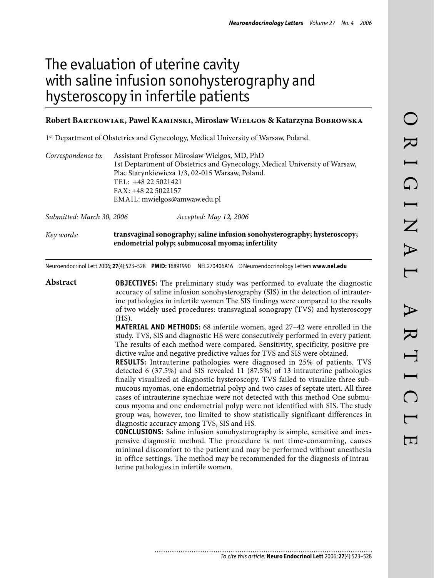# The evaluation of uterine cavity with saline infusion sonohysterography and hysteroscopy in infertile patients

### **Robert Bartkowiak, Pawel Kaminski, Miroslaw Wielgos & Katarzyna Bobrowska**

1st Department of Obstetrics and Gynecology, Medical University of Warsaw, Poland.

| Correspondence to:        | Assistant Professor Miroslaw Wielgos, MD, PhD                               |                        |  |
|---------------------------|-----------------------------------------------------------------------------|------------------------|--|
|                           | 1st Deptartment of Obstetrics and Gynecology, Medical University of Warsaw, |                        |  |
|                           | Plac Starynkiewicza 1/3, 02-015 Warsaw, Poland.                             |                        |  |
|                           | TEL: +48 22 5021421                                                         |                        |  |
|                           | FAX: +48 22 5022157                                                         |                        |  |
|                           | EMAIL: mwielgos@amwaw.edu.pl                                                |                        |  |
|                           |                                                                             |                        |  |
| Submitted: March 30, 2006 |                                                                             | Accepted: May 12, 2006 |  |

*Key words:* **transvaginal sonography; saline infusion sonohysterography; hysteroscopy; endometrial polyp; submucosal myoma; infertility**

Neuroendocrinol Lett 2006; **27**(4):523–528 **PMID:** 16891990 NEL270406A16 ©Neuroendocrinology Letters **www.nel.edu**

**Abstract OBJECTIVES:** The preliminary study was performed to evaluate the diagnostic accuracy of saline infusion sonohysterography (SIS) in the detection of intrauterine pathologies in infertile women The SIS findings were compared to the results of two widely used procedures: transvaginal sonograpy (TVS) and hysteroscopy (HS).

**MATERIAL AND METHODS:** 68 infertile women, aged 27–42 were enrolled in the study. TVS, SIS and diagnostic HS were consecutively performed in every patient. The results of each method were compared. Sensitivity, specificity, positive predictive value and negative predictive values for TVS and SIS were obtained.

**RESULTS:** Intrauterine pathologies were diagnosed in 25% of patients. TVS detected 6 (37.5%) and SIS revealed 11 (87.5%) of 13 intrauterine pathologies finally visualized at diagnostic hysteroscopy. TVS failed to visualize three submucous myomas, one endometrial polyp and two cases of septate uteri. All three cases of intrauterine synechiae were not detected with this method One submucous myoma and one endometrial polyp were not identified with SIS. The study group was, however, too limited to show statistically significant differences in diagnostic accuracy among TVS, SIS and HS.

**CONCLUSIONS:** Saline infusion sonohysterography is simple, sensitive and inexpensive diagnostic method. The procedure is not time-consuming, causes minimal discomfort to the patient and may be performed without anesthesia in office settings. The method may be recommended for the diagnosis of intrauterine pathologies in infertile women.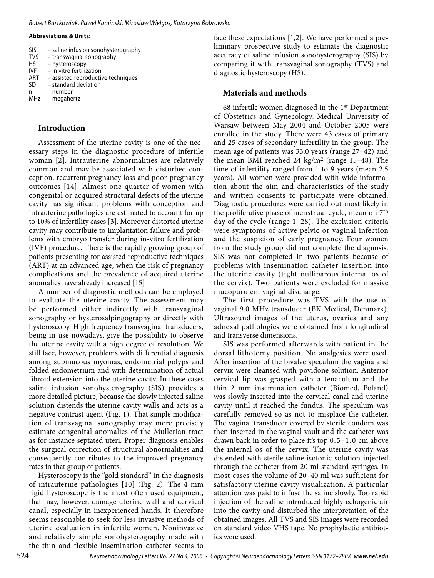#### **Abbreviations & Units:**

| <b>SIS</b> | - saline infusion sonohysterography |
|------------|-------------------------------------|
| <b>TVS</b> | - transvaginal sonography           |
| HS         | - hysteroscopy                      |
| <b>IVF</b> | - in vitro fertilization            |
| <b>ART</b> | - assisted reproductive techniques  |
| <b>SD</b>  | - standard deviation                |
| n          | numbor                              |

– number

MHz – megahertz

# **Introduction**

Assessment of the uterine cavity is one of the necessary steps in the diagnostic procedure of infertile woman [2]. Intrauterine abnormalities are relatively common and may be associated with disturbed conception, recurrent pregnancy loss and poor pregnancy outcomes [14]. Almost one quarter of women with congenital or acquired structural defects of the uterine cavity has significant problems with conception and intrauterine pathologies are estimated to account for up to 10% of infertility cases [3]. Moreover distorted uterine cavity may contribute to implantation failure and problems with embryo transfer during in-vitro fertilization (IVF) procedure. There is the rapidly growing group of patients presenting for assisted reproductive techniques (ART) at an advanced age, when the risk of pregnancy complications and the prevalence of acquired uterine anomalies have already increased [15]

A number of diagnostic methods can be employed to evaluate the uterine cavity. The assessment may be performed either indirectly with transvaginal sonography or hysterosalpingography or directly with hysteroscopy. High frequency transvaginal transducers, being in use nowadays, give the possibility to observe the uterine cavity with a high degree of resolution. We still face, however, problems with differential diagnosis among submucous myomas, endometrial polyps and folded endometrium and with determination of actual fibroid extension into the uterine cavity. In these cases saline infusion sonohysterography (SIS) provides a more detailed picture, because the slowly injected saline solution distends the uterine cavity walls and acts as a negative contrast agent (Fig. 1). That simple modification of transvaginal sonography may more precisely estimate congenital anomalies of the Mullerian tract as for instance septated uteri. Proper diagnosis enables the surgical correction of structural abnormalities and consequently contributes to the improved pregnancy rates in that group of patients.

Hysteroscopy is the "gold standard" in the diagnosis of intrauterine pathologies [10] (Fig. 2). The 4 mm rigid hysteroscope is the most often used equipment, that may, however, damage uterine wall and cervical canal, especially in inexperienced hands. It therefore seems reasonable to seek for less invasive methods of uterine evaluation in infertile women. Noninvasive and relatively simple sonohysterography made with the thin and flexible insemination catheter seems to

face these expectations [1,2]. We have performed a preliminary prospective study to estimate the diagnostic accuracy of saline infusion sonohysterography (SIS) by comparing it with transvaginal sonography (TVS) and diagnostic hysteroscopy (HS).

# **Materials and methods**

68 infertile women diagnosed in the 1st Department of Obstetrics and Gynecology, Medical University of Warsaw between May 2004 and October 2005 were enrolled in the study. There were 43 cases of primary and 25 cases of secondary infertility in the group. The mean age of patients was 33.0 years (range 27–42) and the mean BMI reached 24 kg/m<sup>2</sup> (range 15-48). The time of infertility ranged from 1 to 9 years (mean 2.5 years). All women were provided with wide information about the aim and characteristics of the study and written consents to participate were obtained. Diagnostic procedures were carried out most likely in the proliferative phase of menstrual cycle, mean on 7th day of the cycle (range 1–28). The exclusion criteria were symptoms of active pelvic or vaginal infection and the suspicion of early pregnancy. Four women from the study group did not complete the diagnosis. SIS was not completed in two patients because of problems with insemination catheter insertion into the uterine cavity (tight nulliparous internal os of the cervix). Two patients were excluded for massive mucopurulent vaginal discharge.

The first procedure was TVS with the use of vaginal 9.0 MHz transducer (BK Medical, Denmark). Ultrasound images of the uterus, ovaries and any adnexal pathologies were obtained from longitudinal and transverse dimensions.

SIS was performed afterwards with patient in the dorsal lithotomy position. No analgesics were used. After insertion of the bivalve speculum the vagina and cervix were cleansed with povidone solution. Anterior cervical lip was grasped with a tenaculum and the thin 2 mm insemination catheter (Biomed, Poland) was slowly inserted into the cervical canal and uterine cavity until it reached the fundus. The speculum was carefully removed so as not to misplace the catheter. The vaginal transducer covered by sterile condom was then inserted in the vaginal vault and the catheter was drawn back in order to place it's top 0.5–1.0 cm above the internal os of the cervix. The uterine cavity was distended with sterile saline isotonic solution injected through the catheter from 20 ml standard syringes. In most cases the volume of 20–40 ml was sufficient for satisfactory uterine cavity visualization. A particular attention was paid to infuse the saline slowly. Too rapid injection of the saline introduced highly echogenic air into the cavity and disturbed the interpretation of the obtained images. All TVS and SIS images were recorded on standard video VHS tape. No prophylactic antibiotics were used.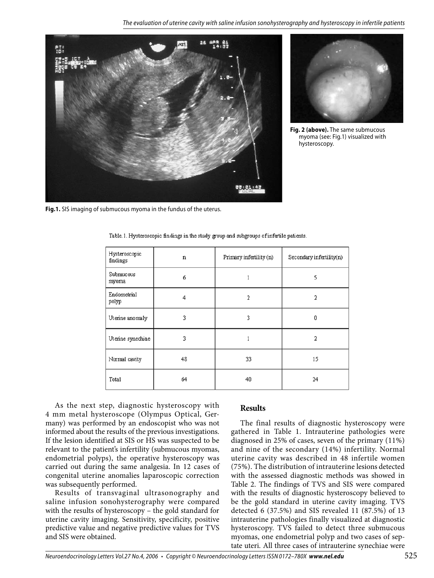



**Fig. 2 (above).** The same submucous myoma (see: Fig.1) visualized with hysteroscopy.

**Fig.1.** SIS imaging of submucous myoma in the fundus of the uterus.

| Hysteroscopic<br>findings | $\mathbf n$ | Primary infertility (n) | Secondary infertility(n) |  |
|---------------------------|-------------|-------------------------|--------------------------|--|
| Submucous<br>myoma        | б           |                         | 5                        |  |
| Endometrial<br>polyp      | 4           | 2                       | 2                        |  |
| Uterine anomaly           | 3           | 3                       | 0                        |  |
| Utenine synechiae         | 3           |                         | 2                        |  |
| Normal cavity             | 48          | 33                      | 15                       |  |
| <b>Total</b>              | 64          | 40                      | 24                       |  |

Table.1. Hysteroscopic findings in the study group and subgroups of infertile patients.

As the next step, diagnostic hysteroscopy with 4 mm metal hysteroscope (Olympus Optical, Germany) was performed by an endoscopist who was not informed about the results of the previous investigations. If the lesion identified at SIS or HS was suspected to be relevant to the patient's infertility (submucous myomas, endometrial polyps), the operative hysteroscopy was carried out during the same analgesia. In 12 cases of congenital uterine anomalies laparoscopic correction was subsequently performed.

Results of transvaginal ultrasonography and saline infusion sonohysterography were compared with the results of hysteroscopy – the gold standard for uterine cavity imaging. Sensitivity, specificity, positive predictive value and negative predictive values for TVS and SIS were obtained.

## **Results**

The final results of diagnostic hysteroscopy were gathered in Table 1. Intrauterine pathologies were diagnosed in 25% of cases, seven of the primary (11%) and nine of the secondary (14%) infertility. Normal uterine cavity was described in 48 infertile women (75%). The distribution of intrauterine lesions detected with the assessed diagnostic methods was showed in Table 2. The findings of TVS and SIS were compared with the results of diagnostic hysteroscopy believed to be the gold standard in uterine cavity imaging. TVS detected 6 (37.5%) and SIS revealed 11 (87.5%) of 13 intrauterine pathologies finally visualized at diagnostic hysteroscopy. TVS failed to detect three submucous myomas, one endometrial polyp and two cases of septate uteri. All three cases of intrauterine synechiae were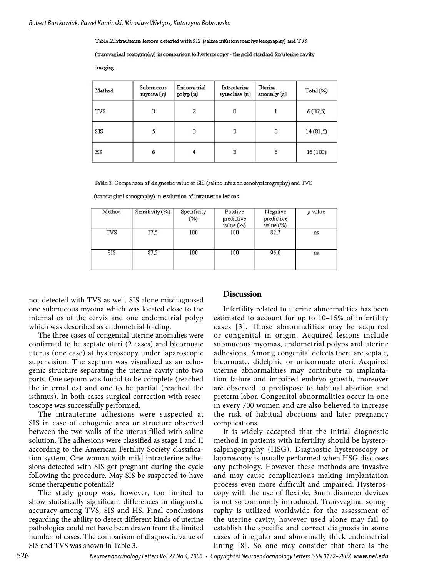Table.2.Intrauterine lesions detected with SIS (saline infusion sonohys terography) and TVS

(transvaginal somography) in comparison to hysteroscopy - the gold standard for utenine cavity

imaging.

| Method | Submucous<br>myoma (n) | Endometrial<br>polyp (n) | Intrauterine<br>synechiae (n) | Uterine<br>anomaly (n) | Total(%)  |
|--------|------------------------|--------------------------|-------------------------------|------------------------|-----------|
| TVS    | 3                      | 2                        | 0                             |                        | 6(37,5)   |
| SIS    |                        | з                        | з                             | 3                      | 14 (81,5) |
| HS     | 6                      | 4                        |                               | 3                      | 16(100)   |

Table.3. Comparison of diagnostic value of SIS (saline infusion sonohysterography) and TVS

(transvaginal sonography) in evaluation of intrauterine lesions.

| Method | Sensitivity $(\%)$ | Specificity<br>$(\%)$ | Positive<br>predictive<br>$value$ $%$ | Negative<br>predictive<br>value (%) | p value |
|--------|--------------------|-----------------------|---------------------------------------|-------------------------------------|---------|
| TVS    | 37.5               | 100                   | 100                                   | 82,7                                | ns      |
| SIS    | 87.5               | 100                   | 100                                   | 96,0                                | ns      |

not detected with TVS as well. SIS alone misdiagnosed one submucous myoma which was located close to the internal os of the cervix and one endometrial polyp which was described as endometrial folding.

The three cases of congenital uterine anomalies were confirmed to be septate uteri (2 cases) and bicornuate uterus (one case) at hysteroscopy under laparoscopic supervision. The septum was visualized as an echogenic structure separating the uterine cavity into two parts. One septum was found to be complete (reached the internal os) and one to be partial (reached the isthmus). In both cases surgical correction with resectoscope was successfully performed.

The intrauterine adhesions were suspected at SIS in case of echogenic area or structure observed between the two walls of the uterus filled with saline solution. The adhesions were classified as stage I and II according to the American Fertility Society classification system. One woman with mild intrauterine adhesions detected with SIS got pregnant during the cycle following the procedure. May SIS be suspected to have some therapeutic potential?

The study group was, however, too limited to show statistically significant differences in diagnostic accuracy among TVS, SIS and HS. Final conclusions regarding the ability to detect different kinds of uterine pathologies could not have been drawn from the limited number of cases. The comparison of diagnostic value of SIS and TVS was shown in Table 3.

#### **Discussion**

Infertility related to uterine abnormalities has been estimated to account for up to 10–15% of infertility cases [3]. Those abnormalities may be acquired or congenital in origin. Acquired lesions include submucous myomas, endometrial polyps and uterine adhesions. Among congenital defects there are septate, bicornuate, didelphic or unicornuate uteri. Acquired uterine abnormalities may contribute to implantation failure and impaired embryo growth, moreover are observed to predispose to habitual abortion and preterm labor. Congenital abnormalities occur in one in every 700 women and are also believed to increase the risk of habitual abortions and later pregnancy complications.

It is widely accepted that the initial diagnostic method in patients with infertility should be hysterosalpingography (HSG). Diagnostic hysteroscopy or laparoscopy is usually performed when HSG discloses any pathology. However these methods are invasive and may cause complications making implantation process even more difficult and impaired. Hysteroscopy with the use of flexible, 3mm diameter devices is not so commonly introduced. Transvaginal sonography is utilized worldwide for the assessment of the uterine cavity, however used alone may fail to establish the specific and correct diagnosis in some cases of irregular and abnormally thick endometrial lining [8]. So one may consider that there is the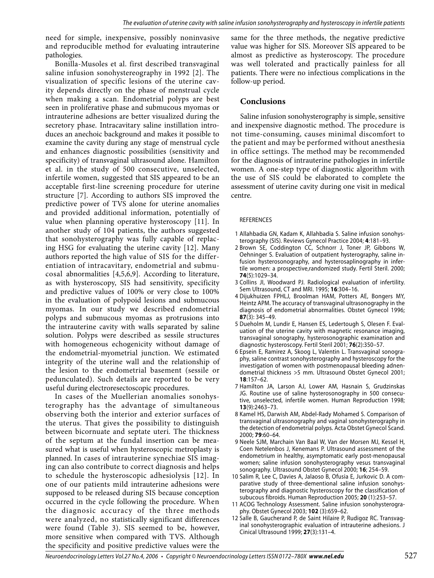need for simple, inexpensive, possibly noninvasive and reproducible method for evaluating intrauterine pathologies.

Bonilla-Musoles et al. first described transvaginal saline infusion sonohystereography in 1992 [2]. The visualization of specific lesions of the uterine cavity depends directly on the phase of menstrual cycle when making a scan. Endometrial polyps are best seen in proliferative phase and submucous myomas or intrauterine adhesions are better visualized during the secretory phase. Intracavitary saline instillation introduces an anechoic background and makes it possible to examine the cavity during any stage of menstrual cycle and enhances diagnostic possibilities (sensitivity and specificity) of transvaginal ultrasound alone. Hamilton et al. in the study of 500 consecutive, unselected, infertile women, suggested that SIS appeared to be an acceptable first-line screening procedure for uterine structure [7]. According to authors SIS improved the predictive power of TVS alone for uterine anomalies and provided additional information, potentially of value when planning operative hysteroscopy [11]. In another study of 104 patients, the authors suggested that sonohysterography was fully capable of replacing HSG for evaluating the uterine cavity [12]. Many authors reported the high value of SIS for the differentiation of intracavitary, endometrial and submucosal abnormalities [4,5,6,9]. According to literature, as with hysteroscopy, SIS had sensitivity, specificity and predictive values of 100% or very close to 100% in the evaluation of polypoid lesions and submucous myomas. In our study we described endometrial polyps and submucous myomas as protrusions into the intrauterine cavity with walls separated by saline solution. Polyps were described as sessile structures with homogeneous echogenicity without damage of the endometrial-myometrial junction. We estimated integrity of the uterine wall and the relationship of the lesion to the endometrial basement (sessile or pedunculated). Such details are reported to be very useful during electroresectoscopic procedures.

In cases of the Muellerian anomalies sonohysterography has the advantage of simultaneous observing both the interior and exterior surfaces of the uterus. That gives the possibility to distinguish between bicornuate and septate uteri. The thickness of the septum at the fundal insertion can be measured what is useful when hysteroscopic metroplasty is planned. In cases of intrauterine synechiae SIS imaging can also contribute to correct diagnosis and helps to schedule the hysteroscopic adhesiolysis [12]. In one of our patients mild intrauterine adhesions were supposed to be released during SIS because conception occurred in the cycle following the procedure. When the diagnosic accuracy of the three methods were analyzed, no statistically significant differences were found (Table 3). SIS seemed to be, however, more sensitive when compared with TVS. Although the specificity and positive predictive values were the

same for the three methods, the negative predictive value was higher for SIS. Moreover SIS appeared to be almost as predictive as hysteroscopy. The procedure was well tolerated and practically painless for all patients. There were no infectious complications in the follow-up period.

# **Conclusions**

Saline infusion sonohysterography is simple, sensitive and inexpensive diagnostic method. The procedure is not time-consuming, causes minimal discomfort to the patient and may be performed without anesthesia in office settings. The method may be recommended for the diagnosis of intrauterine pathologies in infertile women. A one-step type of diagnostic algorithm with the use of SIS could be elaborated to complete the assessment of uterine cavity during one visit in medical centre.

#### **REFERENCES**

- 1 Allahbadia GN, Kadam K, Allahbadia S. Saline infusion sonohysterography (SIS). Reviews Gynecol Practice 2004; **4**:181–93.
- 2 Brown SE, Coddington CC, Schnorr J, Toner JP, Gibbons W, Oehninger S. Evaluation of outpatient hysterography, saline infusion hysterosonography, and hysterosaplinography in infertile women: a prospective,randomized study. Fertil Steril. 2000; **74**(5):1029–34.
- 3 Collins JI, Woodward PJ. Radiological evaluation of infertility. Sem Ultrasound, CT and MRI. 1995; **16**:304–16.
- 4 Dijukhuizen FPHLJ, Broolman HAM, Potters AE, Bongers MY, Heintz APM. The accuracy of transvaginal ultrasonography in the diagnosis of endometrial abnormalities. Obstet Gynecol 1996; **87**(3): 345–49.
- 5 Dueholm M, Lundir E, Hansen ES, Ledertough S, Olesen F. Evaluation of the uterine cavity with magnetic resonance imaging, transvaginal sonography, hysterosonographic examination and diagnostic hysteroscopy. Fertil Steril 2001; **76**(2):350–57.
- 6 Epsein E, Ramirez A, Skoog L, Valentin L. Transvaginal sonography, saline contrast sonohysterography and hysteroscopy for the investigation of women with postmenopausal bleeding adnendometrial thickness >5 mm. Ultrasound Obstet Gynecol 2001; **18**:157–62.
- 7 Hamilton JA, Larson AJ, Lower AM, Hasnain S, Grudzinskas JG. Routine use of saline hysterosonography in 500 consecutive, unselected, infertile women. Human Reproduction 1998; **13**(9):2463–73.
- 8 Kamel HS, Darwish AM, Abdel-Rady Mohamed S. Comparison of transvaginal ultrasonography and vaginal sonohysterography in the detection of endometrial polyps. Acta Obstet Gynecol Scand. 2000; **79**:60–64.
- 9 Neele SJM, Marchain Van Baal W, Van der Morsen MJ, Kessel H, Coen Netelenbos J, Kenemans P. Ultrasound assessment of the endometrium in healthy, asymptomatic early post-menopausal women; saline infusion sonohysterography vesus transvaginal sonography. Ultrasound Obstet Gynecol 2000; **16**; 254–59.
- 10 Salim R, Lee C, Davies A, Jalaoso B, Ofusia E, Jurkovic D. A comparative study of three-dementional saline infusion sonohysterography and diagnostic hysteroscopy for the classification of subucous fibroids. Human Reproduction 2005; **20** (1):253–57.
- 11 ACOG Technology Assessment. Saline infusion sonohysterography. Obstet Gynecol 2003; **102** (3):659–62.
- 12 Salle B, Gaucherand P, de Saint Hilaire P, Rudigoz RC. Transvaginal sonohysterographic evaluation of intrauterine adhesions. J Cinical Ultrasound 1999; **27**(3):131–4.